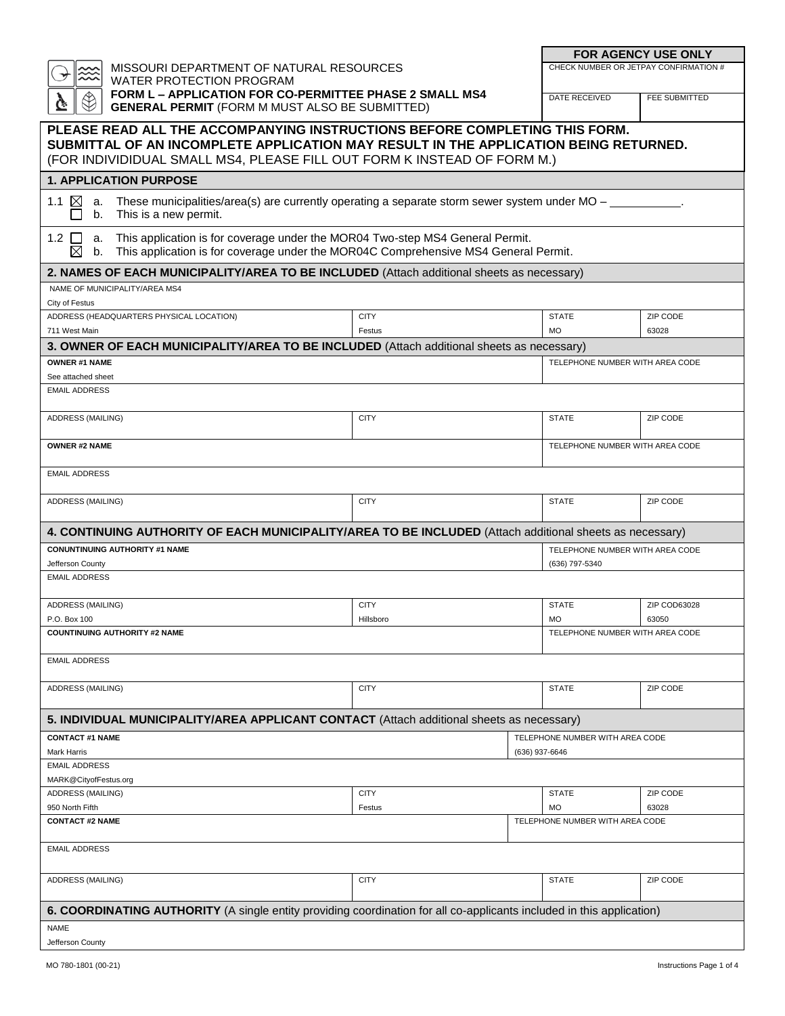|                                                                                                                                                                                                 |                       |                | <b>FOR AGENCY USE ONLY</b>      |                                       |  |
|-------------------------------------------------------------------------------------------------------------------------------------------------------------------------------------------------|-----------------------|----------------|---------------------------------|---------------------------------------|--|
| MISSOURI DEPARTMENT OF NATURAL RESOURCES<br><b>WATER PROTECTION PROGRAM</b><br>FORM L - APPLICATION FOR CO-PERMITTEE PHASE 2 SMALL MS4<br><b>GENERAL PERMIT (FORM M MUST ALSO BE SUBMITTED)</b> |                       |                |                                 | CHECK NUMBER OR JETPAY CONFIRMATION # |  |
|                                                                                                                                                                                                 |                       |                | DATE RECEIVED                   | FEE SUBMITTED                         |  |
| PLEASE READ ALL THE ACCOMPANYING INSTRUCTIONS BEFORE COMPLETING THIS FORM.<br>SUBMITTAL OF AN INCOMPLETE APPLICATION MAY RESULT IN THE APPLICATION BEING RETURNED.                              |                       |                |                                 |                                       |  |
| (FOR INDIVIDIDUAL SMALL MS4, PLEASE FILL OUT FORM K INSTEAD OF FORM M.)                                                                                                                         |                       |                |                                 |                                       |  |
| <b>1. APPLICATION PURPOSE</b>                                                                                                                                                                   |                       |                |                                 |                                       |  |
| These municipalities/area(s) are currently operating a separate storm sewer system under $MO - \_$<br>$\boxtimes$<br>1.1<br>a.<br>This is a new permit.<br>b.                                   |                       |                |                                 |                                       |  |
| This application is for coverage under the MOR04 Two-step MS4 General Permit.<br>1.2 ∐<br>a.<br>⊠<br>This application is for coverage under the MOR04C Comprehensive MS4 General Permit.<br>b.  |                       |                |                                 |                                       |  |
| 2. NAMES OF EACH MUNICIPALITY/AREA TO BE INCLUDED (Attach additional sheets as necessary)                                                                                                       |                       |                |                                 |                                       |  |
| NAME OF MUNICIPALITY/AREA MS4                                                                                                                                                                   |                       |                |                                 |                                       |  |
| City of Festus                                                                                                                                                                                  |                       |                | <b>STATE</b>                    |                                       |  |
| ADDRESS (HEADQUARTERS PHYSICAL LOCATION)<br>711 West Main                                                                                                                                       | <b>CITY</b><br>Festus |                | <b>MO</b>                       | ZIP CODE<br>63028                     |  |
| 3. OWNER OF EACH MUNICIPALITY/AREA TO BE INCLUDED (Attach additional sheets as necessary)                                                                                                       |                       |                |                                 |                                       |  |
| <b>OWNER #1 NAME</b>                                                                                                                                                                            |                       |                | TELEPHONE NUMBER WITH AREA CODE |                                       |  |
| See attached sheet                                                                                                                                                                              |                       |                |                                 |                                       |  |
| <b>EMAIL ADDRESS</b>                                                                                                                                                                            |                       |                |                                 |                                       |  |
| <b>ADDRESS (MAILING)</b>                                                                                                                                                                        | <b>CITY</b>           |                | <b>STATE</b>                    | ZIP CODE                              |  |
| <b>OWNER #2 NAME</b>                                                                                                                                                                            |                       |                | TELEPHONE NUMBER WITH AREA CODE |                                       |  |
| <b>EMAIL ADDRESS</b>                                                                                                                                                                            |                       |                |                                 |                                       |  |
| ADDRESS (MAILING)                                                                                                                                                                               | <b>CITY</b>           |                | <b>STATE</b>                    | ZIP CODE                              |  |
| 4. CONTINUING AUTHORITY OF EACH MUNICIPALITY/AREA TO BE INCLUDED (Attach additional sheets as necessary)                                                                                        |                       |                |                                 |                                       |  |
| <b>CONUNTINUING AUTHORITY #1 NAME</b>                                                                                                                                                           |                       |                | TELEPHONE NUMBER WITH AREA CODE |                                       |  |
| Jefferson County<br><b>EMAIL ADDRESS</b>                                                                                                                                                        |                       |                | (636) 797-5340                  |                                       |  |
|                                                                                                                                                                                                 |                       |                |                                 |                                       |  |
| ADDRESS (MAILING)                                                                                                                                                                               | <b>CITY</b>           |                | <b>STATE</b>                    | ZIP COD63028                          |  |
| P.O. Box 100                                                                                                                                                                                    | Hillsboro             |                | <b>MO</b>                       | 63050                                 |  |
| <b>COUNTINUING AUTHORITY #2 NAME</b>                                                                                                                                                            |                       |                | TELEPHONE NUMBER WITH AREA CODE |                                       |  |
| <b>EMAIL ADDRESS</b>                                                                                                                                                                            |                       |                |                                 |                                       |  |
| ADDRESS (MAILING)                                                                                                                                                                               | <b>CITY</b>           |                | <b>STATE</b>                    | ZIP CODE                              |  |
| 5. INDIVIDUAL MUNICIPALITY/AREA APPLICANT CONTACT (Attach additional sheets as necessary)                                                                                                       |                       |                |                                 |                                       |  |
| <b>CONTACT #1 NAME</b>                                                                                                                                                                          |                       |                | TELEPHONE NUMBER WITH AREA CODE |                                       |  |
| Mark Harris<br><b>EMAIL ADDRESS</b>                                                                                                                                                             |                       | (636) 937-6646 |                                 |                                       |  |
| MARK@CityofFestus.org                                                                                                                                                                           |                       |                |                                 |                                       |  |
| ADDRESS (MAILING)                                                                                                                                                                               | <b>CITY</b>           |                | <b>STATE</b>                    | ZIP CODE                              |  |
| 950 North Fifth                                                                                                                                                                                 | Festus                |                | <b>MO</b>                       | 63028                                 |  |
| <b>CONTACT #2 NAME</b>                                                                                                                                                                          |                       |                | TELEPHONE NUMBER WITH AREA CODE |                                       |  |
| <b>EMAIL ADDRESS</b>                                                                                                                                                                            |                       |                |                                 |                                       |  |
| ADDRESS (MAILING)                                                                                                                                                                               | <b>CITY</b>           |                | <b>STATE</b>                    | ZIP CODE                              |  |
| 6. COORDINATING AUTHORITY (A single entity providing coordination for all co-applicants included in this application)                                                                           |                       |                |                                 |                                       |  |
| <b>NAME</b>                                                                                                                                                                                     |                       |                |                                 |                                       |  |
| Jefferson County                                                                                                                                                                                |                       |                |                                 |                                       |  |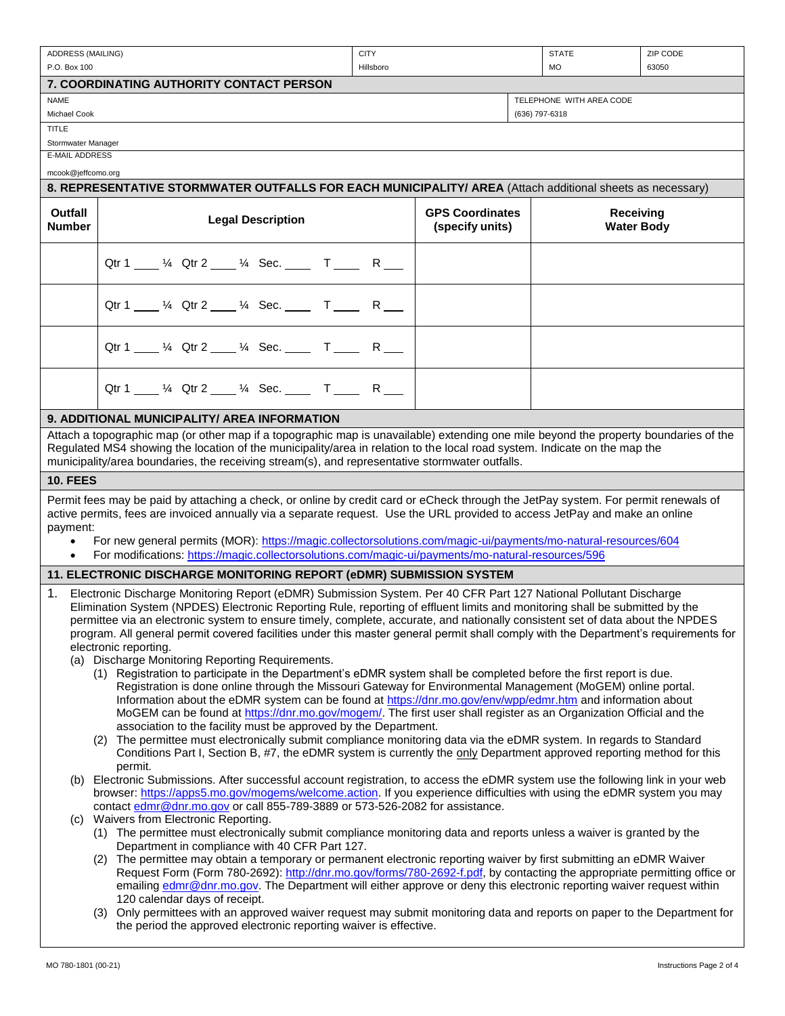| ADDRESS (MAILING)                                                                                                                                                                                                                                                                                                                                                                                                                                                                                                                                                                                                                                                 |                                                                                                                                    | <b>CITY</b> |                                           | <b>STATE</b>   |                                | ZIP CODE |
|-------------------------------------------------------------------------------------------------------------------------------------------------------------------------------------------------------------------------------------------------------------------------------------------------------------------------------------------------------------------------------------------------------------------------------------------------------------------------------------------------------------------------------------------------------------------------------------------------------------------------------------------------------------------|------------------------------------------------------------------------------------------------------------------------------------|-------------|-------------------------------------------|----------------|--------------------------------|----------|
| P.O. Box 100                                                                                                                                                                                                                                                                                                                                                                                                                                                                                                                                                                                                                                                      |                                                                                                                                    | Hillsboro   |                                           | <b>MO</b>      |                                | 63050    |
|                                                                                                                                                                                                                                                                                                                                                                                                                                                                                                                                                                                                                                                                   | 7. COORDINATING AUTHORITY CONTACT PERSON                                                                                           |             |                                           |                |                                |          |
| <b>NAME</b>                                                                                                                                                                                                                                                                                                                                                                                                                                                                                                                                                                                                                                                       |                                                                                                                                    |             |                                           |                | TELEPHONE WITH AREA CODE       |          |
| Michael Cook                                                                                                                                                                                                                                                                                                                                                                                                                                                                                                                                                                                                                                                      |                                                                                                                                    |             |                                           | (636) 797-6318 |                                |          |
| <b>TITLE</b>                                                                                                                                                                                                                                                                                                                                                                                                                                                                                                                                                                                                                                                      |                                                                                                                                    |             |                                           |                |                                |          |
| Stormwater Manager<br><b>E-MAIL ADDRESS</b>                                                                                                                                                                                                                                                                                                                                                                                                                                                                                                                                                                                                                       |                                                                                                                                    |             |                                           |                |                                |          |
| mcook@jeffcomo.org                                                                                                                                                                                                                                                                                                                                                                                                                                                                                                                                                                                                                                                |                                                                                                                                    |             |                                           |                |                                |          |
|                                                                                                                                                                                                                                                                                                                                                                                                                                                                                                                                                                                                                                                                   | 8. REPRESENTATIVE STORMWATER OUTFALLS FOR EACH MUNICIPALITY/ AREA (Attach additional sheets as necessary)                          |             |                                           |                |                                |          |
|                                                                                                                                                                                                                                                                                                                                                                                                                                                                                                                                                                                                                                                                   |                                                                                                                                    |             |                                           |                |                                |          |
| Outfall<br><b>Number</b>                                                                                                                                                                                                                                                                                                                                                                                                                                                                                                                                                                                                                                          | <b>Legal Description</b>                                                                                                           |             | <b>GPS Coordinates</b><br>(specify units) |                | Receiving<br><b>Water Body</b> |          |
|                                                                                                                                                                                                                                                                                                                                                                                                                                                                                                                                                                                                                                                                   | Qtr 1 ___ 1/4 Qtr 2 ___ 1/4 Sec. ___ T ___ R ___                                                                                   |             |                                           |                |                                |          |
|                                                                                                                                                                                                                                                                                                                                                                                                                                                                                                                                                                                                                                                                   | Qtr 1 ___ 1/4 Qtr 2 ___ 1/4 Sec. ___ T ___ R ___                                                                                   |             |                                           |                |                                |          |
|                                                                                                                                                                                                                                                                                                                                                                                                                                                                                                                                                                                                                                                                   | Qtr 1 ___ 1/4 Qtr 2 ___ 1/4 Sec. ___ T ___ R ___                                                                                   |             |                                           |                |                                |          |
|                                                                                                                                                                                                                                                                                                                                                                                                                                                                                                                                                                                                                                                                   | Qtr 1 ___ 1/4 Qtr 2 ___ 1/4 Sec. ___ T ___ R ___                                                                                   |             |                                           |                |                                |          |
|                                                                                                                                                                                                                                                                                                                                                                                                                                                                                                                                                                                                                                                                   | 9. ADDITIONAL MUNICIPALITY/ AREA INFORMATION                                                                                       |             |                                           |                |                                |          |
| Attach a topographic map (or other map if a topographic map is unavailable) extending one mile beyond the property boundaries of the<br>Regulated MS4 showing the location of the municipality/area in relation to the local road system. Indicate on the map the<br>municipality/area boundaries, the receiving stream(s), and representative stormwater outfalls.                                                                                                                                                                                                                                                                                               |                                                                                                                                    |             |                                           |                |                                |          |
| <b>10. FEES</b>                                                                                                                                                                                                                                                                                                                                                                                                                                                                                                                                                                                                                                                   |                                                                                                                                    |             |                                           |                |                                |          |
|                                                                                                                                                                                                                                                                                                                                                                                                                                                                                                                                                                                                                                                                   | Permit fees may be paid by attaching a check, or online by credit card or eCheck through the JetPay system. For permit renewals of |             |                                           |                |                                |          |
|                                                                                                                                                                                                                                                                                                                                                                                                                                                                                                                                                                                                                                                                   | active permits, fees are invoiced annually via a separate request. Use the URL provided to access JetPay and make an online        |             |                                           |                |                                |          |
| payment:                                                                                                                                                                                                                                                                                                                                                                                                                                                                                                                                                                                                                                                          |                                                                                                                                    |             |                                           |                |                                |          |
| For new general permits (MOR): https://magic.collectorsolutions.com/magic-ui/payments/mo-natural-resources/604<br>$\bullet$                                                                                                                                                                                                                                                                                                                                                                                                                                                                                                                                       |                                                                                                                                    |             |                                           |                |                                |          |
|                                                                                                                                                                                                                                                                                                                                                                                                                                                                                                                                                                                                                                                                   | For modifications: https://magic.collectorsolutions.com/magic-ui/payments/mo-natural-resources/596                                 |             |                                           |                |                                |          |
|                                                                                                                                                                                                                                                                                                                                                                                                                                                                                                                                                                                                                                                                   | 11. ELECTRONIC DISCHARGE MONITORING REPORT (eDMR) SUBMISSION SYSTEM                                                                |             |                                           |                |                                |          |
| Electronic Discharge Monitoring Report (eDMR) Submission System. Per 40 CFR Part 127 National Pollutant Discharge<br>1.<br>Elimination System (NPDES) Electronic Reporting Rule, reporting of effluent limits and monitoring shall be submitted by the<br>permittee via an electronic system to ensure timely, complete, accurate, and nationally consistent set of data about the NPDES<br>program. All general permit covered facilities under this master general permit shall comply with the Department's requirements for<br>electronic reporting.<br>(a) Discharge Monitoring Reporting Requirements.                                                      |                                                                                                                                    |             |                                           |                |                                |          |
| (1) Registration to participate in the Department's eDMR system shall be completed before the first report is due.<br>Registration is done online through the Missouri Gateway for Environmental Management (MoGEM) online portal.<br>Information about the eDMR system can be found at https://dnr.mo.gov/env/wpp/edmr.htm and information about<br>MoGEM can be found at https://dnr.mo.gov/mogem/. The first user shall register as an Organization Official and the<br>association to the facility must be approved by the Department.<br>(2) The permittee must electronically submit compliance monitoring data via the eDMR system. In regards to Standard |                                                                                                                                    |             |                                           |                |                                |          |
|                                                                                                                                                                                                                                                                                                                                                                                                                                                                                                                                                                                                                                                                   | Conditions Part I, Section B, #7, the eDMR system is currently the only Department approved reporting method for this<br>permit.   |             |                                           |                |                                |          |
| Electronic Submissions. After successful account registration, to access the eDMR system use the following link in your web<br>(b)<br>browser: https://apps5.mo.gov/mogems/welcome.action. If you experience difficulties with using the eDMR system you may<br>contact edmr@dnr.mo.gov or call 855-789-3889 or 573-526-2082 for assistance.                                                                                                                                                                                                                                                                                                                      |                                                                                                                                    |             |                                           |                |                                |          |
| Waivers from Electronic Reporting.<br>(C)<br>(1) The permittee must electronically submit compliance monitoring data and reports unless a waiver is granted by the<br>Department in compliance with 40 CFR Part 127.                                                                                                                                                                                                                                                                                                                                                                                                                                              |                                                                                                                                    |             |                                           |                |                                |          |
| (2) The permittee may obtain a temporary or permanent electronic reporting waiver by first submitting an eDMR Waiver<br>Request Form (Form 780-2692): http://dnr.mo.gov/forms/780-2692-f.pdf, by contacting the appropriate permitting office or<br>emailing edmr@dnr.mo.gov. The Department will either approve or deny this electronic reporting waiver request within<br>120 calendar days of receipt.                                                                                                                                                                                                                                                         |                                                                                                                                    |             |                                           |                |                                |          |
|                                                                                                                                                                                                                                                                                                                                                                                                                                                                                                                                                                                                                                                                   | (3) Only permittees with an approved waiver request may submit monitoring data and reports on paper to the Department for          |             |                                           |                |                                |          |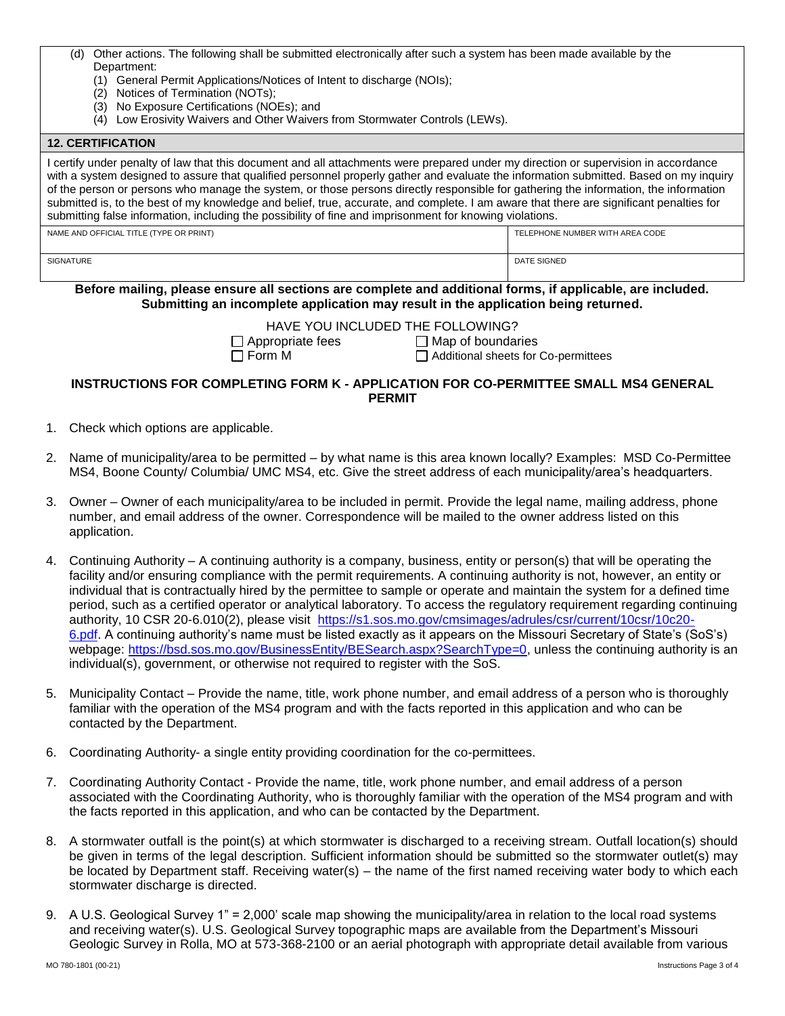| (d) Other actions. The following shall be submitted electronically after such a system has been made available by the |
|-----------------------------------------------------------------------------------------------------------------------|
| Department:                                                                                                           |

- (1) General Permit Applications/Notices of Intent to discharge (NOIs);
- (2) Notices of Termination (NOTs);
- (3) No Exposure Certifications (NOEs); and
- (4) Low Erosivity Waivers and Other Waivers from Stormwater Controls (LEWs).

| <b>12. CERTIFICATION</b>                                                                                                                                                                                                                                                                                                                                                                                                                                                                                                                                                                                                                                                    |                                 |  |  |
|-----------------------------------------------------------------------------------------------------------------------------------------------------------------------------------------------------------------------------------------------------------------------------------------------------------------------------------------------------------------------------------------------------------------------------------------------------------------------------------------------------------------------------------------------------------------------------------------------------------------------------------------------------------------------------|---------------------------------|--|--|
| I certify under penalty of law that this document and all attachments were prepared under my direction or supervision in accordance<br>with a system designed to assure that qualified personnel properly gather and evaluate the information submitted. Based on my inquiry<br>of the person or persons who manage the system, or those persons directly responsible for gathering the information, the information<br>submitted is, to the best of my knowledge and belief, true, accurate, and complete. I am aware that there are significant penalties for<br>submitting false information, including the possibility of fine and imprisonment for knowing violations. |                                 |  |  |
| NAME AND OFFICIAL TITLE (TYPE OR PRINT)                                                                                                                                                                                                                                                                                                                                                                                                                                                                                                                                                                                                                                     | TELEPHONE NUMBER WITH AREA CODE |  |  |
| <b>SIGNATURE</b>                                                                                                                                                                                                                                                                                                                                                                                                                                                                                                                                                                                                                                                            | <b>DATE SIGNED</b>              |  |  |
| Before mailing, please ensure all sections are complete and additional forms, if applicable, are included.                                                                                                                                                                                                                                                                                                                                                                                                                                                                                                                                                                  |                                 |  |  |

**Submitting an incomplete application may result in the application being returned.** 

HAVE YOU INCLUDED THE FOLLOWING?

 $\Box$  Appropriate fees  $\Box$  Map of boundaries

□ Form M <br>□ Additional sheets for Co-permittees

## **INSTRUCTIONS FOR COMPLETING FORM K - APPLICATION FOR CO-PERMITTEE SMALL MS4 GENERAL PERMIT**

- 1. Check which options are applicable.
- 2. Name of municipality/area to be permitted by what name is this area known locally? Examples: MSD Co-Permittee MS4, Boone County/ Columbia/ UMC MS4, etc. Give the street address of each municipality/area's headquarters.
- 3. Owner Owner of each municipality/area to be included in permit. Provide the legal name, mailing address, phone number, and email address of the owner. Correspondence will be mailed to the owner address listed on this application.
- 4. Continuing Authority A continuing authority is a company, business, entity or person(s) that will be operating the facility and/or ensuring compliance with the permit requirements. A continuing authority is not, however, an entity or individual that is contractually hired by the permittee to sample or operate and maintain the system for a defined time period, such as a certified operator or analytical laboratory. To access the regulatory requirement regarding continuing authority, 10 CSR 20-6.010(2), please visit [https://s1.sos.mo.gov/cmsimages/adrules/csr/current/10csr/10c20-](https://s1.sos.mo.gov/cmsimages/adrules/csr/current/10csr/10c20-6.pdf) [6.pdf.](https://s1.sos.mo.gov/cmsimages/adrules/csr/current/10csr/10c20-6.pdf) A continuing authority's name must be listed exactly as it appears on the Missouri Secretary of State's (SoS's) webpage: [https://bsd.sos.mo.gov/BusinessEntity/BESearch.aspx?SearchType=0,](https://bsd.sos.mo.gov/BusinessEntity/BESearch.aspx?SearchType=0) unless the continuing authority is an individual(s), government, or otherwise not required to register with the SoS.
- 5. Municipality Contact Provide the name, title, work phone number, and email address of a person who is thoroughly familiar with the operation of the MS4 program and with the facts reported in this application and who can be contacted by the Department.
- 6. Coordinating Authority- a single entity providing coordination for the co-permittees.
- 7. Coordinating Authority Contact Provide the name, title, work phone number, and email address of a person associated with the Coordinating Authority, who is thoroughly familiar with the operation of the MS4 program and with the facts reported in this application, and who can be contacted by the Department.
- 8. A stormwater outfall is the point(s) at which stormwater is discharged to a receiving stream. Outfall location(s) should be given in terms of the legal description. Sufficient information should be submitted so the stormwater outlet(s) may be located by Department staff. Receiving water(s) – the name of the first named receiving water body to which each stormwater discharge is directed.
- 9. A U.S. Geological Survey 1" = 2,000' scale map showing the municipality/area in relation to the local road systems and receiving water(s). U.S. Geological Survey topographic maps are available from the Department's Missouri Geologic Survey in Rolla, MO at 573-368-2100 or an aerial photograph with appropriate detail available from various